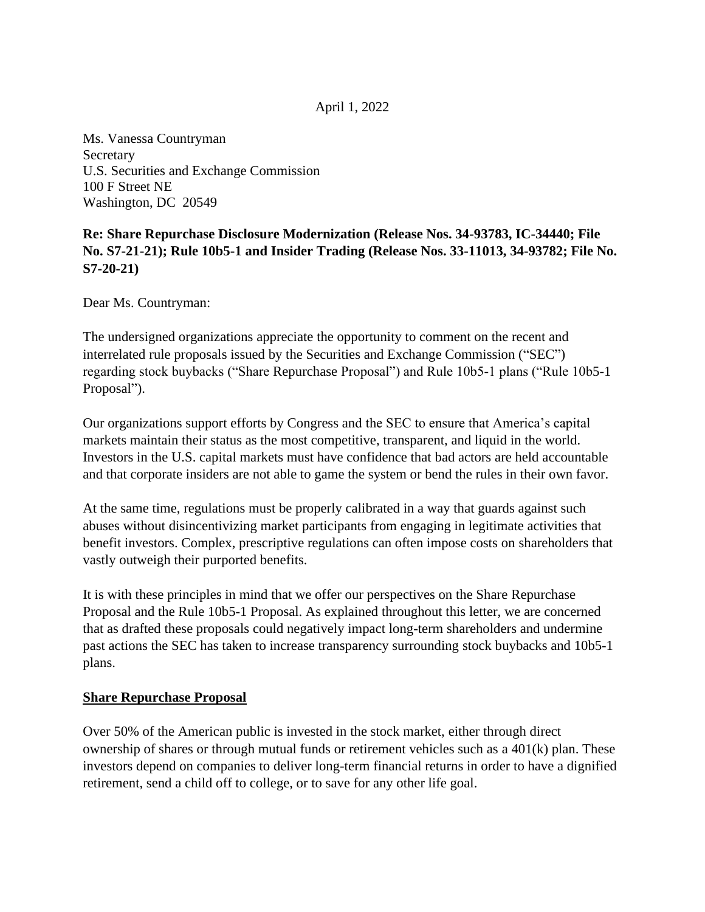## April 1, 2022

Ms. Vanessa Countryman Secretary U.S. Securities and Exchange Commission 100 F Street NE Washington, DC 20549

# **Re: Share Repurchase Disclosure Modernization (Release Nos. 34-93783, IC-34440; File No. S7-21-21); Rule 10b5-1 and Insider Trading (Release Nos. 33-11013, 34-93782; File No. S7-20-21)**

Dear Ms. Countryman:

The undersigned organizations appreciate the opportunity to comment on the recent and interrelated rule proposals issued by the Securities and Exchange Commission ("SEC") regarding stock buybacks ("Share Repurchase Proposal") and Rule 10b5-1 plans ("Rule 10b5-1 Proposal").

Our organizations support efforts by Congress and the SEC to ensure that America's capital markets maintain their status as the most competitive, transparent, and liquid in the world. Investors in the U.S. capital markets must have confidence that bad actors are held accountable and that corporate insiders are not able to game the system or bend the rules in their own favor.

At the same time, regulations must be properly calibrated in a way that guards against such abuses without disincentivizing market participants from engaging in legitimate activities that benefit investors. Complex, prescriptive regulations can often impose costs on shareholders that vastly outweigh their purported benefits.

It is with these principles in mind that we offer our perspectives on the Share Repurchase Proposal and the Rule 10b5-1 Proposal. As explained throughout this letter, we are concerned that as drafted these proposals could negatively impact long-term shareholders and undermine past actions the SEC has taken to increase transparency surrounding stock buybacks and 10b5-1 plans.

### **Share Repurchase Proposal**

Over 50% of the American public is invested in the stock market, either through direct ownership of shares or through mutual funds or retirement vehicles such as a 401(k) plan. These investors depend on companies to deliver long-term financial returns in order to have a dignified retirement, send a child off to college, or to save for any other life goal.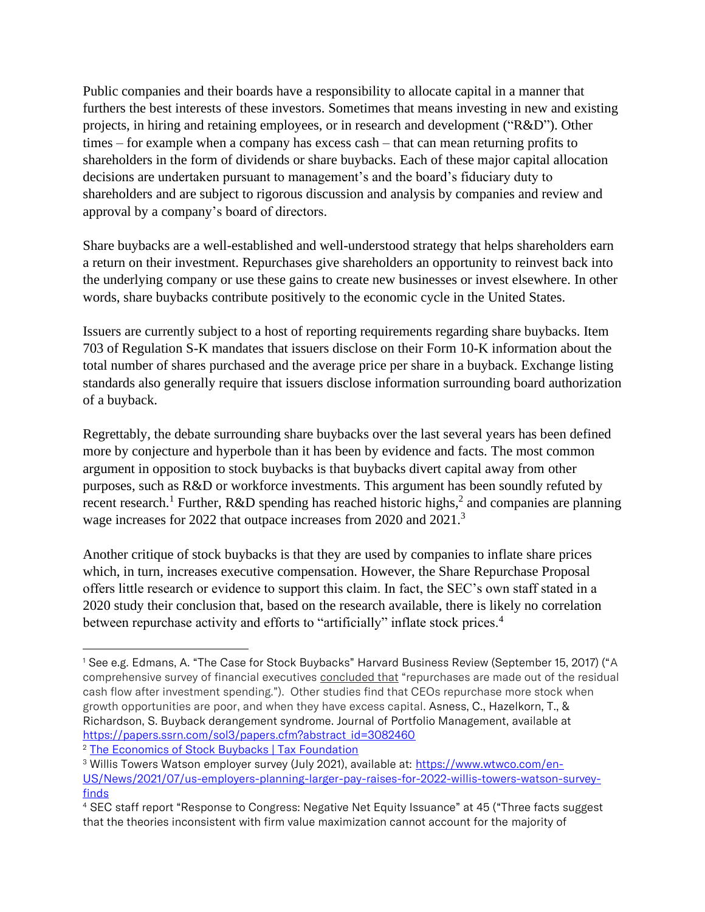Public companies and their boards have a responsibility to allocate capital in a manner that furthers the best interests of these investors. Sometimes that means investing in new and existing projects, in hiring and retaining employees, or in research and development ("R&D"). Other times – for example when a company has excess cash – that can mean returning profits to shareholders in the form of dividends or share buybacks. Each of these major capital allocation decisions are undertaken pursuant to management's and the board's fiduciary duty to shareholders and are subject to rigorous discussion and analysis by companies and review and approval by a company's board of directors.

Share buybacks are a well-established and well-understood strategy that helps shareholders earn a return on their investment. Repurchases give shareholders an opportunity to reinvest back into the underlying company or use these gains to create new businesses or invest elsewhere. In other words, share buybacks contribute positively to the economic cycle in the United States.

Issuers are currently subject to a host of reporting requirements regarding share buybacks. Item 703 of Regulation S-K mandates that issuers disclose on their Form 10-K information about the total number of shares purchased and the average price per share in a buyback. Exchange listing standards also generally require that issuers disclose information surrounding board authorization of a buyback.

Regrettably, the debate surrounding share buybacks over the last several years has been defined more by conjecture and hyperbole than it has been by evidence and facts. The most common argument in opposition to stock buybacks is that buybacks divert capital away from other purposes, such as R&D or workforce investments. This argument has been soundly refuted by recent research.<sup>1</sup> Further, R&D spending has reached historic highs,<sup>2</sup> and companies are planning wage increases for 2022 that outpace increases from 2020 and 2021.<sup>3</sup>

Another critique of stock buybacks is that they are used by companies to inflate share prices which, in turn, increases executive compensation. However, the Share Repurchase Proposal offers little research or evidence to support this claim. In fact, the SEC's own staff stated in a 2020 study their conclusion that, based on the research available, there is likely no correlation between repurchase activity and efforts to "artificially" inflate stock prices.<sup>4</sup>

<sup>1</sup> See e.g. Edmans, A. "The Case for Stock Buybacks" Harvard Business Review (September 15, 2017) ("A comprehensive survey of financial executives [concluded that](http://www.sciencedirect.com/science/article/pii/S0304405X05000528) "repurchases are made out of the residual cash flow after investment spending."). Other studies find that CEOs repurchase more stock [when](http://onlinelibrary.wiley.com/doi/10.1111/j.1540-6261.2004.00645.x/abstract)  [growth opportunities are poor,](http://onlinelibrary.wiley.com/doi/10.1111/j.1540-6261.2004.00645.x/abstract) and when [they have excess capital.](http://www.jstor.org/stable/10.1086/209646) Asness, C., Hazelkorn, T., & Richardson, S. Buyback derangement syndrome. Journal of Portfolio Management, available at [https://papers.ssrn.com/sol3/papers.cfm?abstract\\_id=3082460](https://papers.ssrn.com/sol3/papers.cfm?abstract_id=3082460)

<sup>&</sup>lt;sup>2</sup> [The Economics of Stock Buybacks | Tax Foundation](https://taxfoundation.org/economics-stock-buybacks/?utm_source=Corporate&utm_campaign=2c6c9faa58-EMAIL_CAMPAIGN_2018_08_16_01_36_COPY_01&utm_medium=email&utm_term=0_94e6588ff2-2c6c9faa58-429053753&mc_cid=2c6c9faa58&mc_eid=70da02528d)

<sup>&</sup>lt;sup>3</sup> Willis Towers Watson employer survey (July 2021), available at: [https://www.wtwco.com/en-](https://www.wtwco.com/en-US/News/2021/07/us-employers-planning-larger-pay-raises-for-2022-willis-towers-watson-survey-finds)[US/News/2021/07/us-employers-planning-larger-pay-raises-for-2022-willis-towers-watson-survey](https://www.wtwco.com/en-US/News/2021/07/us-employers-planning-larger-pay-raises-for-2022-willis-towers-watson-survey-finds)[finds](https://www.wtwco.com/en-US/News/2021/07/us-employers-planning-larger-pay-raises-for-2022-willis-towers-watson-survey-finds)

<sup>4</sup> SEC staff report "Response to Congress: Negative Net Equity Issuance" at 45 ("Three facts suggest that the theories inconsistent with firm value maximization cannot account for the majority of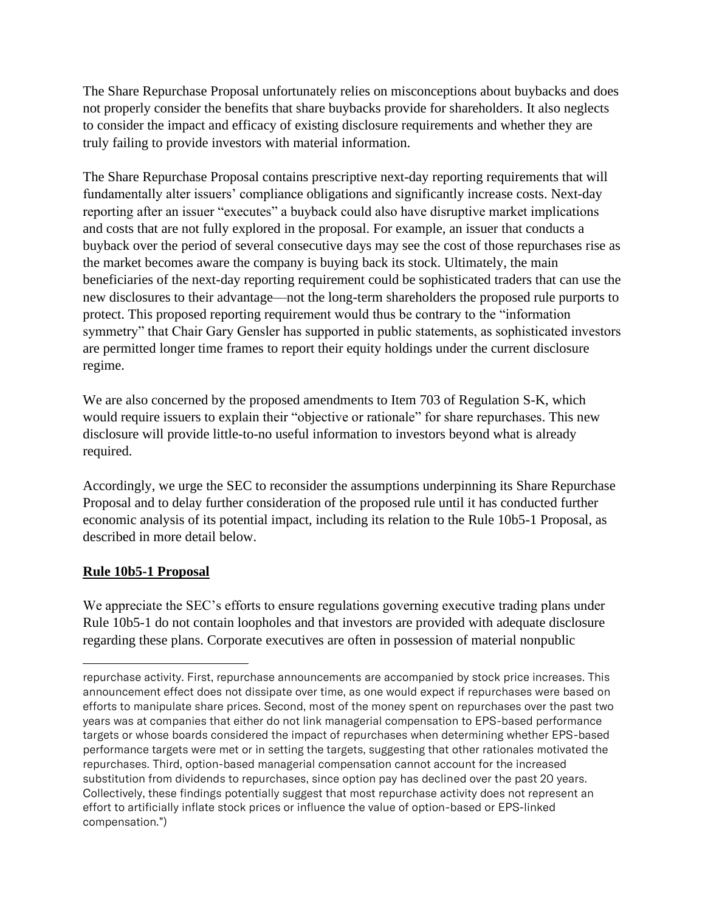The Share Repurchase Proposal unfortunately relies on misconceptions about buybacks and does not properly consider the benefits that share buybacks provide for shareholders. It also neglects to consider the impact and efficacy of existing disclosure requirements and whether they are truly failing to provide investors with material information.

The Share Repurchase Proposal contains prescriptive next-day reporting requirements that will fundamentally alter issuers' compliance obligations and significantly increase costs. Next-day reporting after an issuer "executes" a buyback could also have disruptive market implications and costs that are not fully explored in the proposal. For example, an issuer that conducts a buyback over the period of several consecutive days may see the cost of those repurchases rise as the market becomes aware the company is buying back its stock. Ultimately, the main beneficiaries of the next-day reporting requirement could be sophisticated traders that can use the new disclosures to their advantage—not the long-term shareholders the proposed rule purports to protect. This proposed reporting requirement would thus be contrary to the "information symmetry" that Chair Gary Gensler has supported in public statements, as sophisticated investors are permitted longer time frames to report their equity holdings under the current disclosure regime.

We are also concerned by the proposed amendments to Item 703 of Regulation S-K, which would require issuers to explain their "objective or rationale" for share repurchases. This new disclosure will provide little-to-no useful information to investors beyond what is already required.

Accordingly, we urge the SEC to reconsider the assumptions underpinning its Share Repurchase Proposal and to delay further consideration of the proposed rule until it has conducted further economic analysis of its potential impact, including its relation to the Rule 10b5-1 Proposal, as described in more detail below.

# **Rule 10b5-1 Proposal**

We appreciate the SEC's efforts to ensure regulations governing executive trading plans under Rule 10b5-1 do not contain loopholes and that investors are provided with adequate disclosure regarding these plans. Corporate executives are often in possession of material nonpublic

repurchase activity. First, repurchase announcements are accompanied by stock price increases. This announcement effect does not dissipate over time, as one would expect if repurchases were based on efforts to manipulate share prices. Second, most of the money spent on repurchases over the past two years was at companies that either do not link managerial compensation to EPS-based performance targets or whose boards considered the impact of repurchases when determining whether EPS-based performance targets were met or in setting the targets, suggesting that other rationales motivated the repurchases. Third, option-based managerial compensation cannot account for the increased substitution from dividends to repurchases, since option pay has declined over the past 20 years. Collectively, these findings potentially suggest that most repurchase activity does not represent an effort to artificially inflate stock prices or influence the value of option-based or EPS-linked compensation.")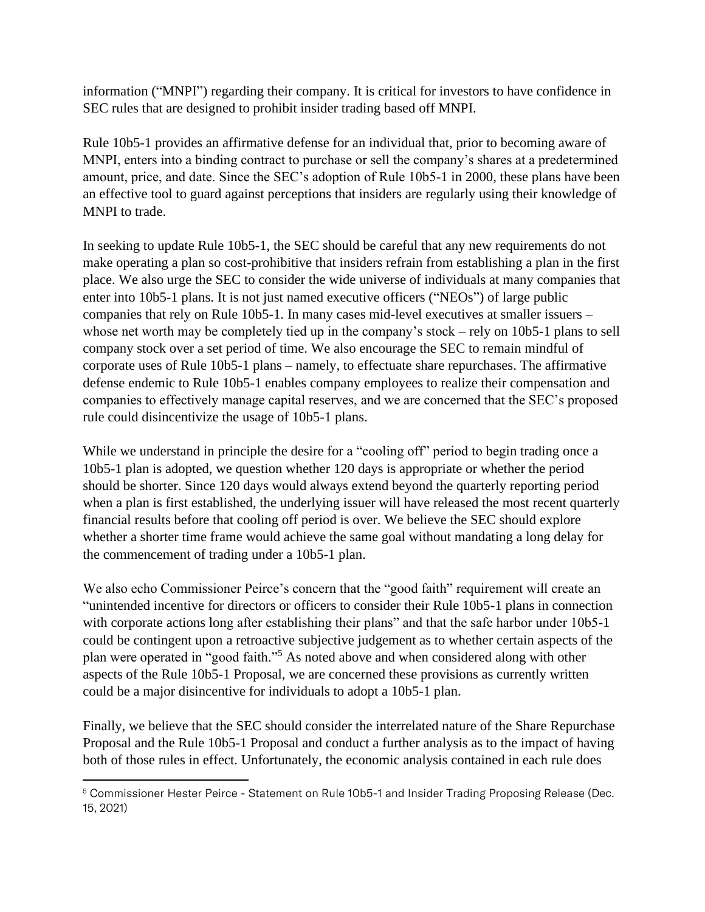information ("MNPI") regarding their company. It is critical for investors to have confidence in SEC rules that are designed to prohibit insider trading based off MNPI.

Rule 10b5-1 provides an affirmative defense for an individual that, prior to becoming aware of MNPI, enters into a binding contract to purchase or sell the company's shares at a predetermined amount, price, and date. Since the SEC's adoption of Rule 10b5-1 in 2000, these plans have been an effective tool to guard against perceptions that insiders are regularly using their knowledge of MNPI to trade.

In seeking to update Rule 10b5-1, the SEC should be careful that any new requirements do not make operating a plan so cost-prohibitive that insiders refrain from establishing a plan in the first place. We also urge the SEC to consider the wide universe of individuals at many companies that enter into 10b5-1 plans. It is not just named executive officers ("NEOs") of large public companies that rely on Rule 10b5-1. In many cases mid-level executives at smaller issuers – whose net worth may be completely tied up in the company's stock – rely on 10b5-1 plans to sell company stock over a set period of time. We also encourage the SEC to remain mindful of corporate uses of Rule 10b5-1 plans – namely, to effectuate share repurchases. The affirmative defense endemic to Rule 10b5-1 enables company employees to realize their compensation and companies to effectively manage capital reserves, and we are concerned that the SEC's proposed rule could disincentivize the usage of 10b5-1 plans.

While we understand in principle the desire for a "cooling off" period to begin trading once a 10b5-1 plan is adopted, we question whether 120 days is appropriate or whether the period should be shorter. Since 120 days would always extend beyond the quarterly reporting period when a plan is first established, the underlying issuer will have released the most recent quarterly financial results before that cooling off period is over. We believe the SEC should explore whether a shorter time frame would achieve the same goal without mandating a long delay for the commencement of trading under a 10b5-1 plan.

We also echo Commissioner Peirce's concern that the "good faith" requirement will create an "unintended incentive for directors or officers to consider their Rule 10b5-1 plans in connection with corporate actions long after establishing their plans" and that the safe harbor under 10b5-1 could be contingent upon a retroactive subjective judgement as to whether certain aspects of the plan were operated in "good faith."<sup>5</sup> As noted above and when considered along with other aspects of the Rule 10b5-1 Proposal, we are concerned these provisions as currently written could be a major disincentive for individuals to adopt a 10b5-1 plan.

Finally, we believe that the SEC should consider the interrelated nature of the Share Repurchase Proposal and the Rule 10b5-1 Proposal and conduct a further analysis as to the impact of having both of those rules in effect. Unfortunately, the economic analysis contained in each rule does

<sup>5</sup> Commissioner Hester Peirce - Statement on Rule 10b5-1 and Insider Trading Proposing Release (Dec. 15, 2021)